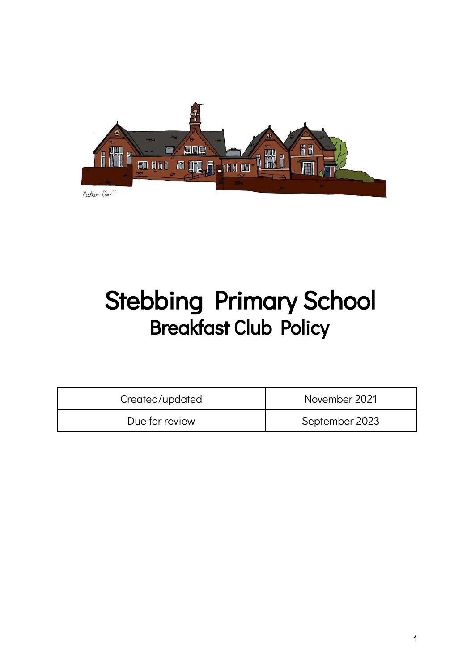

# Stebbing Primary School Breakfast Club Policy

| Created/updated | November 2021  |
|-----------------|----------------|
| Due for review  | September 2023 |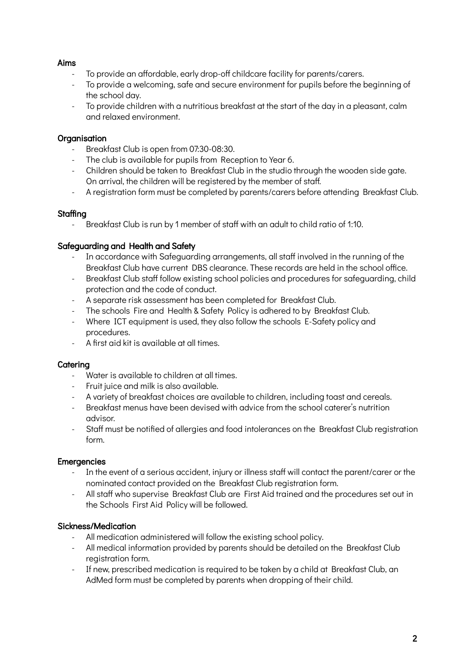# Aims

- To provide an affordable, early drop-off childcare facility for parents/carers.
- To provide a welcoming, safe and secure environment for pupils before the beginning of the school day.
- To provide children with a nutritious breakfast at the start of the day in a pleasant, calm and relaxed environment.

# **Organisation**

- Breakfast Club is open from 07:30-08:30.
- The club is available for pupils from Reception to Year 6.
- Children should be taken to Breakfast Club in the studio through the wooden side gate. On arrival, the children will be registered by the member of staff.
- A registration form must be completed by parents/carers before attending Breakfast Club.

## Staffina

- Breakfast Club is run by 1 member of staff with an adult to child ratio of 1:10.

# Safeguarding and Health and Safety

- In accordance with Safeguarding arrangements, all staff involved in the running of the Breakfast Club have current DBS clearance. These records are held in the school office.
- Breakfast Club staff follow existing school policies and procedures for safeguarding, child protection and the code of conduct.
- A separate risk assessment has been completed for Breakfast Club.
- The schools Fire and Health & Safety Policy is adhered to by Breakfast Club.
- Where ICT equipment is used, they also follow the schools E-Safety policy and procedures.
- A first aid kit is available at all times.

## **Caterina**

- Water is available to children at all times.
- Fruit juice and milk is also available.
- A variety of breakfast choices are available to children, including toast and cereals.
- Breakfast menus have been devised with advice from the school caterer's nutrition advisor.
- Staff must be notified of allergies and food intolerances on the Breakfast Club registration form.

## **Emergencies**

- In the event of a serious accident, injury or illness staff will contact the parent/carer or the nominated contact provided on the Breakfast Club registration form.
- All staff who supervise Breakfast Club are First Aid trained and the procedures set out in the Schools First Aid Policy will be followed.

# Sickness/Medication

- All medication administered will follow the existing school policy.
- All medical information provided by parents should be detailed on the Breakfast Club registration form.
- If new, prescribed medication is required to be taken by a child at Breakfast Club, an AdMed form must be completed by parents when dropping of their child.